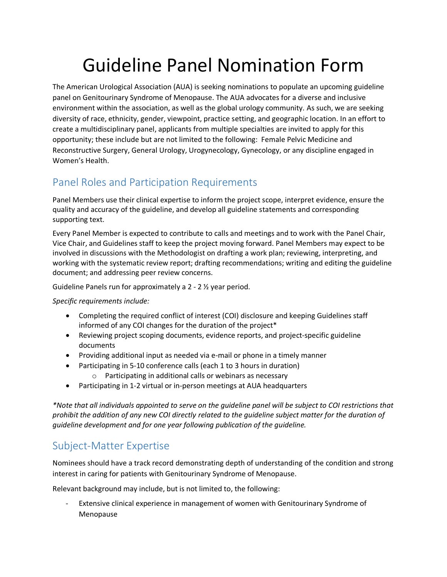# Guideline Panel Nomination Form

The American Urological Association (AUA) is seeking nominations to populate an upcoming guideline panel on Genitourinary Syndrome of Menopause. The AUA advocates for a diverse and inclusive environment within the association, as well as the global urology community. As such, we are seeking diversity of race, ethnicity, gender, viewpoint, practice setting, and geographic location. In an effort to create a multidisciplinary panel, applicants from multiple specialties are invited to apply for this opportunity; these include but are not limited to the following: Female Pelvic Medicine and Reconstructive Surgery, General Urology, Urogynecology, Gynecology, or any discipline engaged in Women's Health.

## Panel Roles and Participation Requirements

Panel Members use their clinical expertise to inform the project scope, interpret evidence, ensure the quality and accuracy of the guideline, and develop all guideline statements and corresponding supporting text.

Every Panel Member is expected to contribute to calls and meetings and to work with the Panel Chair, Vice Chair, and Guidelines staff to keep the project moving forward. Panel Members may expect to be involved in discussions with the Methodologist on drafting a work plan; reviewing, interpreting, and working with the systematic review report; drafting recommendations; writing and editing the guideline document; and addressing peer review concerns.

Guideline Panels run for approximately a 2 - 2 ½ year period.

*Specific requirements include:* 

- Completing the required conflict of interest (COI) disclosure and keeping Guidelines staff informed of any COI changes for the duration of the project\*
- Reviewing project scoping documents, evidence reports, and project-specific guideline documents
- Providing additional input as needed via e-mail or phone in a timely manner
- Participating in 5-10 conference calls (each 1 to 3 hours in duration)
	- o Participating in additional calls or webinars as necessary
- Participating in 1-2 virtual or in-person meetings at AUA headquarters

*\*Note that all individuals appointed to serve on the guideline panel will be subject to COI restrictions that prohibit the addition of any new COI directly related to the guideline subject matter for the duration of guideline development and for one year following publication of the guideline.*

#### Subject-Matter Expertise

Nominees should have a track record demonstrating depth of understanding of the condition and strong interest in caring for patients with Genitourinary Syndrome of Menopause.

Relevant background may include, but is not limited to, the following:

Extensive clinical experience in management of women with Genitourinary Syndrome of Menopause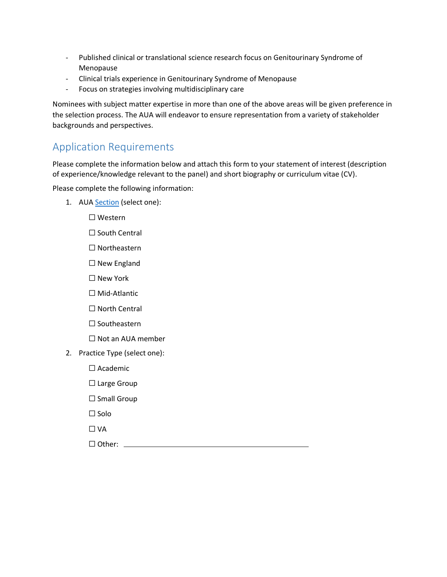- Published clinical or translational science research focus on Genitourinary Syndrome of Menopause
- Clinical trials experience in Genitourinary Syndrome of Menopause
- Focus on strategies involving multidisciplinary care

Nominees with subject matter expertise in more than one of the above areas will be given preference in the selection process. The AUA will endeavor to ensure representation from a variety of stakeholder backgrounds and perspectives.

### Application Requirements

Please complete the information below and attach this form to your statement of interest (description of experience/knowledge relevant to the panel) and short biography or curriculum vitae (CV).

Please complete the following information:

1. AUA [Section](https://www.auanet.org/membership/who-we-are/aua-sections-and-demographics) (select one):

☐ Western

- □ South Central
- ☐ Northeastern
- ☐ New England
- ☐ New York
- ☐ Mid-Atlantic
- □ North Central
- ☐ Southeastern
- ☐ Not an AUA member
- 2. Practice Type (select one):
	- ☐ Academic
	- ☐ Large Group
	- ☐ Small Group
	- ☐ Solo
	- ☐ VA

□ Other: <u>\_\_\_\_\_\_\_\_\_\_</u>